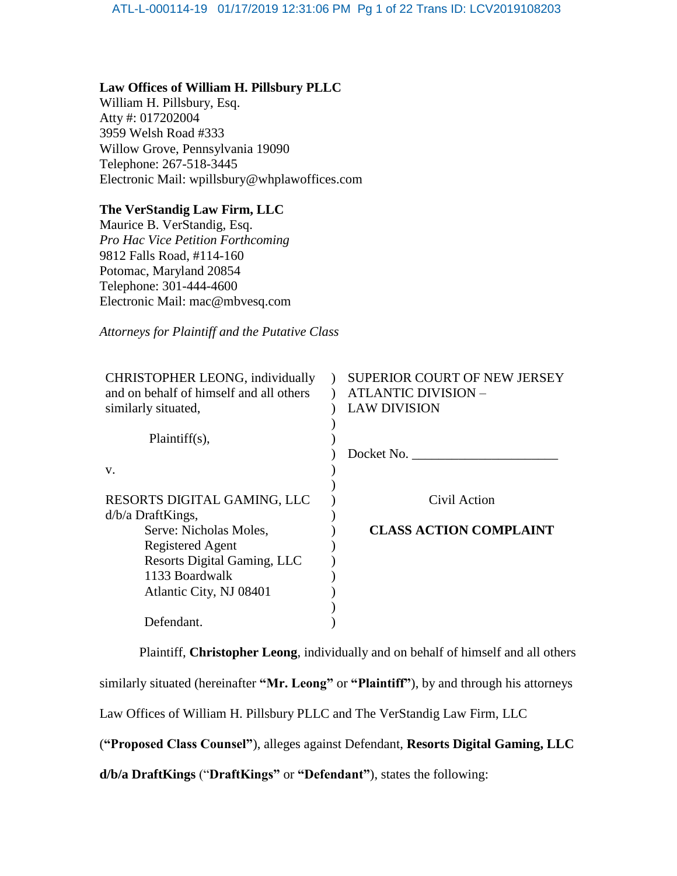## **Law Offices of William H. Pillsbury PLLC**

William H. Pillsbury, Esq. Atty #: 017202004 3959 Welsh Road #333 Willow Grove, Pennsylvania 19090 Telephone: 267-518-3445 Electronic Mail: wpillsbury@whplawoffices.com

## **The VerStandig Law Firm, LLC**

Maurice B. VerStandig, Esq. *Pro Hac Vice Petition Forthcoming* 9812 Falls Road, #114-160 Potomac, Maryland 20854 Telephone: 301-444-4600 Electronic Mail: mac@mbvesq.com

*Attorneys for Plaintiff and the Putative Class*

| CHRISTOPHER LEONG, individually         | <b>SUPERIOR COURT OF NEW JERSEY</b> |
|-----------------------------------------|-------------------------------------|
| and on behalf of himself and all others | <b>ATLANTIC DIVISION -</b>          |
| similarly situated,                     | <b>LAW DIVISION</b>                 |
|                                         |                                     |
| $Plaintiff(s)$ ,                        |                                     |
|                                         | Docket No.                          |
| V.                                      |                                     |
|                                         |                                     |
| RESORTS DIGITAL GAMING, LLC             | Civil Action                        |
| $d/b/a$ DraftKings,                     |                                     |
| Serve: Nicholas Moles,                  | <b>CLASS ACTION COMPLAINT</b>       |
| <b>Registered Agent</b>                 |                                     |
| <b>Resorts Digital Gaming, LLC</b>      |                                     |
| 1133 Boardwalk                          |                                     |
| Atlantic City, NJ 08401                 |                                     |
|                                         |                                     |
| Defendant.                              |                                     |
|                                         |                                     |

Plaintiff, **Christopher Leong**, individually and on behalf of himself and all others similarly situated (hereinafter **"Mr. Leong"** or **"Plaintiff"**), by and through his attorneys Law Offices of William H. Pillsbury PLLC and The VerStandig Law Firm, LLC

(**"Proposed Class Counsel"**), alleges against Defendant, **Resorts Digital Gaming, LLC** 

**d/b/a DraftKings** ("**DraftKings"** or **"Defendant"**), states the following: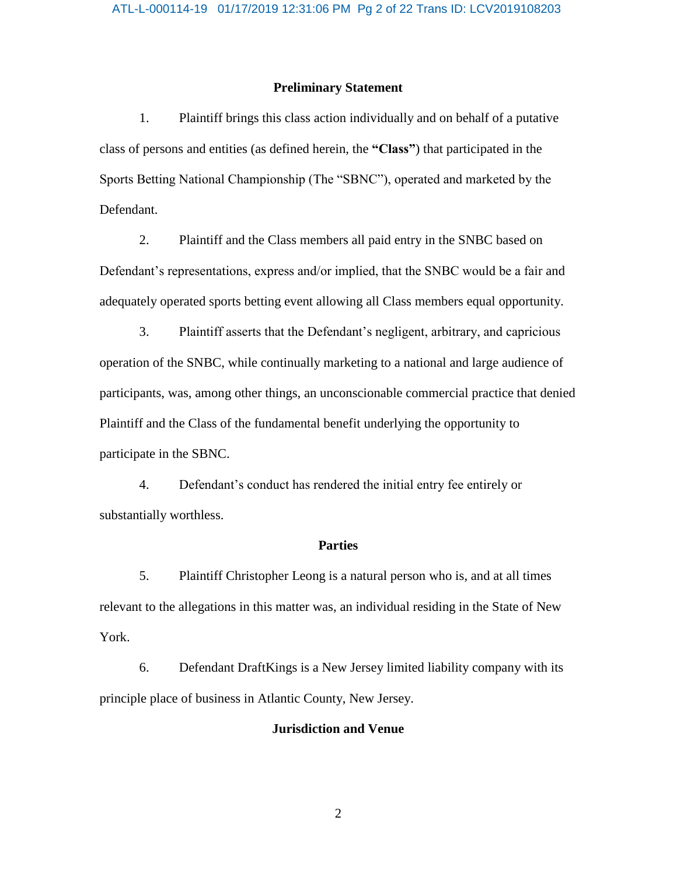## **Preliminary Statement**

1. Plaintiff brings this class action individually and on behalf of a putative class of persons and entities (as defined herein, the **"Class"**) that participated in the Sports Betting National Championship (The "SBNC"), operated and marketed by the Defendant.

2. Plaintiff and the Class members all paid entry in the SNBC based on Defendant's representations, express and/or implied, that the SNBC would be a fair and adequately operated sports betting event allowing all Class members equal opportunity.

3. Plaintiff asserts that the Defendant's negligent, arbitrary, and capricious operation of the SNBC, while continually marketing to a national and large audience of participants, was, among other things, an unconscionable commercial practice that denied Plaintiff and the Class of the fundamental benefit underlying the opportunity to participate in the SBNC.

4. Defendant's conduct has rendered the initial entry fee entirely or substantially worthless.

### **Parties**

5. Plaintiff Christopher Leong is a natural person who is, and at all times relevant to the allegations in this matter was, an individual residing in the State of New York.

6. Defendant DraftKings is a New Jersey limited liability company with its principle place of business in Atlantic County, New Jersey.

## **Jurisdiction and Venue**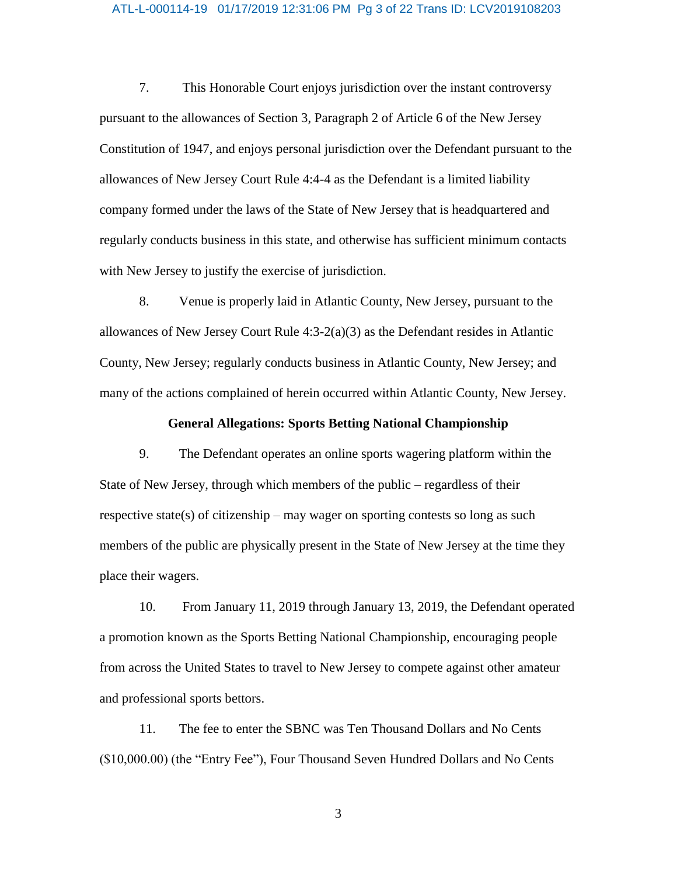#### ATL-L-000114-19 01/17/2019 12:31:06 PM Pg 3 of 22 Trans ID: LCV2019108203

7. This Honorable Court enjoys jurisdiction over the instant controversy pursuant to the allowances of Section 3, Paragraph 2 of Article 6 of the New Jersey Constitution of 1947, and enjoys personal jurisdiction over the Defendant pursuant to the allowances of New Jersey Court Rule 4:4-4 as the Defendant is a limited liability company formed under the laws of the State of New Jersey that is headquartered and regularly conducts business in this state, and otherwise has sufficient minimum contacts with New Jersey to justify the exercise of jurisdiction.

8. Venue is properly laid in Atlantic County, New Jersey, pursuant to the allowances of New Jersey Court Rule  $4:3-2(a)(3)$  as the Defendant resides in Atlantic County, New Jersey; regularly conducts business in Atlantic County, New Jersey; and many of the actions complained of herein occurred within Atlantic County, New Jersey.

## **General Allegations: Sports Betting National Championship**

9. The Defendant operates an online sports wagering platform within the State of New Jersey, through which members of the public – regardless of their respective state(s) of citizenship – may wager on sporting contests so long as such members of the public are physically present in the State of New Jersey at the time they place their wagers.

10. From January 11, 2019 through January 13, 2019, the Defendant operated a promotion known as the Sports Betting National Championship, encouraging people from across the United States to travel to New Jersey to compete against other amateur and professional sports bettors.

11. The fee to enter the SBNC was Ten Thousand Dollars and No Cents (\$10,000.00) (the "Entry Fee"), Four Thousand Seven Hundred Dollars and No Cents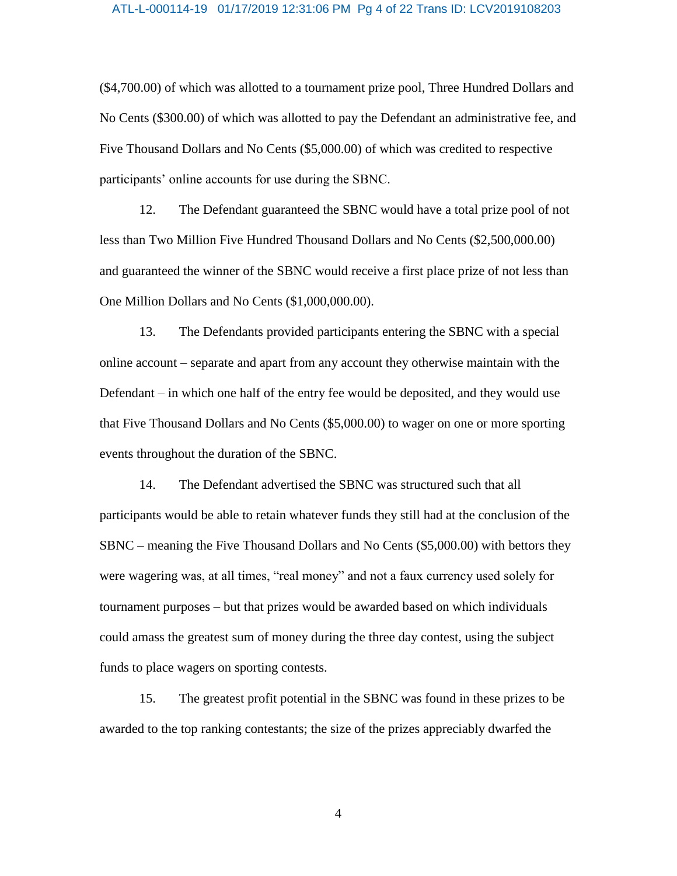#### ATL-L-000114-19 01/17/2019 12:31:06 PM Pg 4 of 22 Trans ID: LCV2019108203

(\$4,700.00) of which was allotted to a tournament prize pool, Three Hundred Dollars and No Cents (\$300.00) of which was allotted to pay the Defendant an administrative fee, and Five Thousand Dollars and No Cents (\$5,000.00) of which was credited to respective participants' online accounts for use during the SBNC.

12. The Defendant guaranteed the SBNC would have a total prize pool of not less than Two Million Five Hundred Thousand Dollars and No Cents (\$2,500,000.00) and guaranteed the winner of the SBNC would receive a first place prize of not less than One Million Dollars and No Cents (\$1,000,000.00).

13. The Defendants provided participants entering the SBNC with a special online account – separate and apart from any account they otherwise maintain with the Defendant – in which one half of the entry fee would be deposited, and they would use that Five Thousand Dollars and No Cents (\$5,000.00) to wager on one or more sporting events throughout the duration of the SBNC.

14. The Defendant advertised the SBNC was structured such that all participants would be able to retain whatever funds they still had at the conclusion of the SBNC – meaning the Five Thousand Dollars and No Cents (\$5,000.00) with bettors they were wagering was, at all times, "real money" and not a faux currency used solely for tournament purposes – but that prizes would be awarded based on which individuals could amass the greatest sum of money during the three day contest, using the subject funds to place wagers on sporting contests.

15. The greatest profit potential in the SBNC was found in these prizes to be awarded to the top ranking contestants; the size of the prizes appreciably dwarfed the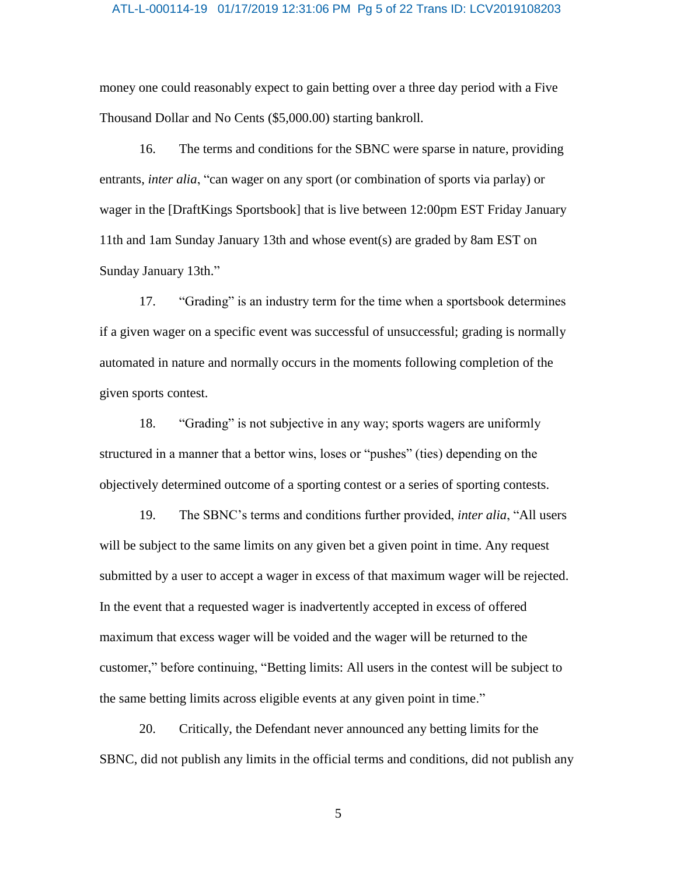#### ATL-L-000114-19 01/17/2019 12:31:06 PM Pg 5 of 22 Trans ID: LCV2019108203

money one could reasonably expect to gain betting over a three day period with a Five Thousand Dollar and No Cents (\$5,000.00) starting bankroll.

16. The terms and conditions for the SBNC were sparse in nature, providing entrants, *inter alia*, "can wager on any sport (or combination of sports via parlay) or wager in the [DraftKings Sportsbook] that is live between 12:00pm EST Friday January 11th and 1am Sunday January 13th and whose event(s) are graded by 8am EST on Sunday January 13th."

17. "Grading" is an industry term for the time when a sportsbook determines if a given wager on a specific event was successful of unsuccessful; grading is normally automated in nature and normally occurs in the moments following completion of the given sports contest.

18. "Grading" is not subjective in any way; sports wagers are uniformly structured in a manner that a bettor wins, loses or "pushes" (ties) depending on the objectively determined outcome of a sporting contest or a series of sporting contests.

19. The SBNC's terms and conditions further provided, *inter alia*, "All users will be subject to the same limits on any given bet a given point in time. Any request submitted by a user to accept a wager in excess of that maximum wager will be rejected. In the event that a requested wager is inadvertently accepted in excess of offered maximum that excess wager will be voided and the wager will be returned to the customer," before continuing, "Betting limits: All users in the contest will be subject to the same betting limits across eligible events at any given point in time."

20. Critically, the Defendant never announced any betting limits for the SBNC, did not publish any limits in the official terms and conditions, did not publish any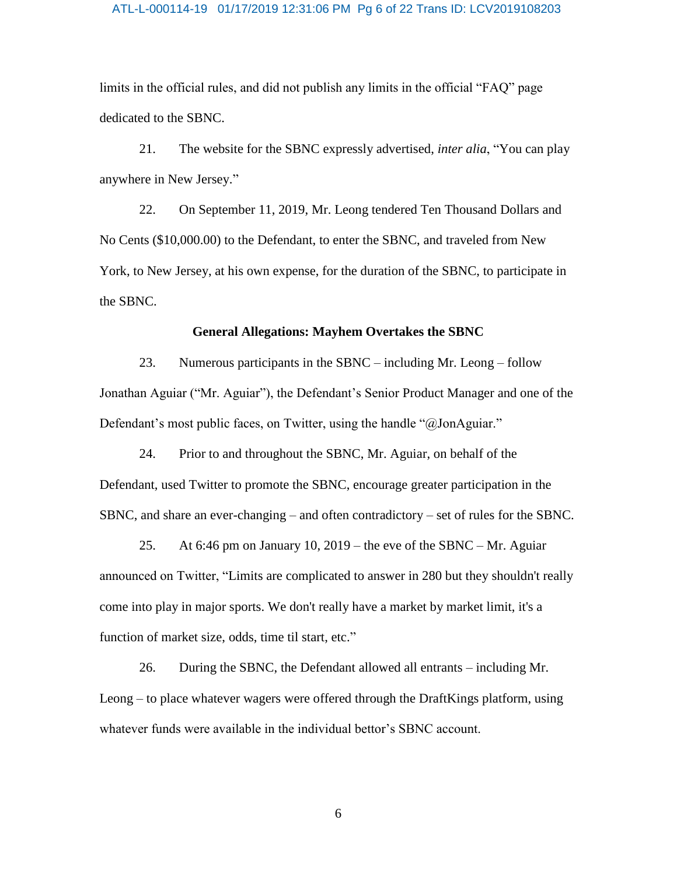#### ATL-L-000114-19 01/17/2019 12:31:06 PM Pg 6 of 22 Trans ID: LCV2019108203

limits in the official rules, and did not publish any limits in the official "FAQ" page dedicated to the SBNC.

21. The website for the SBNC expressly advertised, *inter alia*, "You can play anywhere in New Jersey."

22. On September 11, 2019, Mr. Leong tendered Ten Thousand Dollars and No Cents (\$10,000.00) to the Defendant, to enter the SBNC, and traveled from New York, to New Jersey, at his own expense, for the duration of the SBNC, to participate in the SBNC.

### **General Allegations: Mayhem Overtakes the SBNC**

23. Numerous participants in the SBNC – including Mr. Leong – follow Jonathan Aguiar ("Mr. Aguiar"), the Defendant's Senior Product Manager and one of the Defendant's most public faces, on Twitter, using the handle "@JonAguiar."

24. Prior to and throughout the SBNC, Mr. Aguiar, on behalf of the Defendant, used Twitter to promote the SBNC, encourage greater participation in the SBNC, and share an ever-changing – and often contradictory – set of rules for the SBNC.

25. At 6:46 pm on January 10, 2019 – the eve of the SBNC – Mr. Aguiar announced on Twitter, "Limits are complicated to answer in 280 but they shouldn't really come into play in major sports. We don't really have a market by market limit, it's a function of market size, odds, time til start, etc."

26. During the SBNC, the Defendant allowed all entrants – including Mr. Leong – to place whatever wagers were offered through the DraftKings platform, using whatever funds were available in the individual bettor's SBNC account.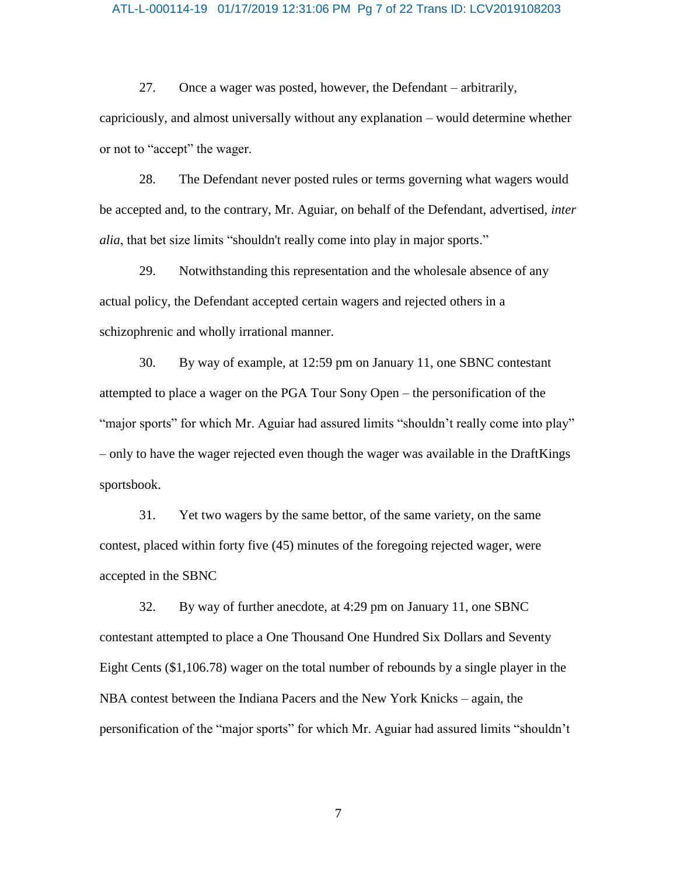#### ATL-L-000114-19 01/17/2019 12:31:06 PM Pg 7 of 22 Trans ID: LCV2019108203

27. Once a wager was posted, however, the Defendant – arbitrarily, capriciously, and almost universally without any explanation – would determine whether or not to "accept" the wager.

28. The Defendant never posted rules or terms governing what wagers would be accepted and, to the contrary, Mr. Aguiar, on behalf of the Defendant, advertised, *inter alia*, that bet size limits "shouldn't really come into play in major sports."

29. Notwithstanding this representation and the wholesale absence of any actual policy, the Defendant accepted certain wagers and rejected others in a schizophrenic and wholly irrational manner.

30. By way of example, at 12:59 pm on January 11, one SBNC contestant attempted to place a wager on the PGA Tour Sony Open – the personification of the "major sports" for which Mr. Aguiar had assured limits "shouldn't really come into play" – only to have the wager rejected even though the wager was available in the DraftKings sportsbook.

31. Yet two wagers by the same bettor, of the same variety, on the same contest, placed within forty five (45) minutes of the foregoing rejected wager, were accepted in the SBNC

32. By way of further anecdote, at 4:29 pm on January 11, one SBNC contestant attempted to place a One Thousand One Hundred Six Dollars and Seventy Eight Cents (\$1,106.78) wager on the total number of rebounds by a single player in the NBA contest between the Indiana Pacers and the New York Knicks – again, the personification of the "major sports" for which Mr. Aguiar had assured limits "shouldn't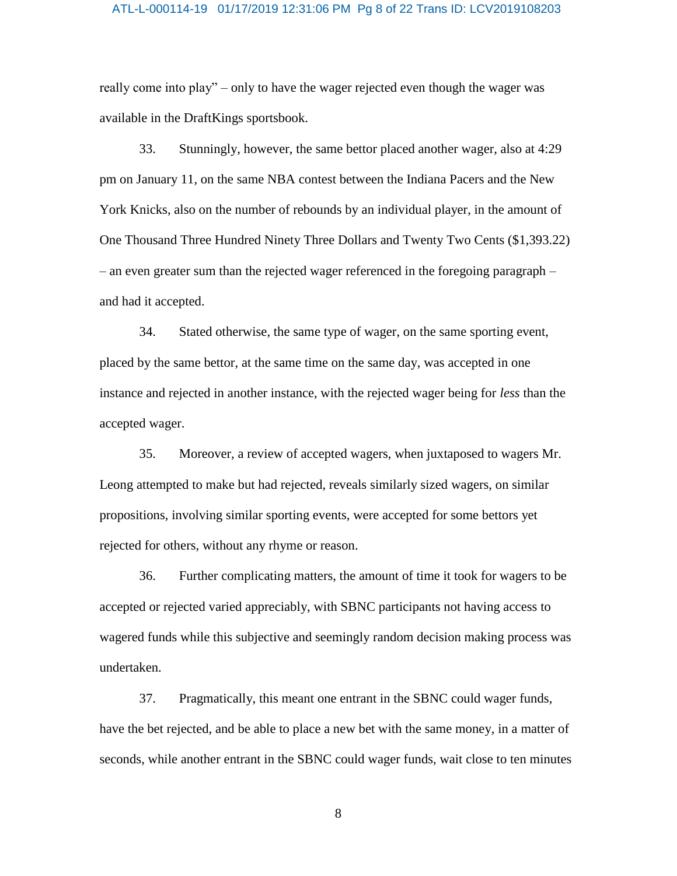#### ATL-L-000114-19 01/17/2019 12:31:06 PM Pg 8 of 22 Trans ID: LCV2019108203

really come into play" – only to have the wager rejected even though the wager was available in the DraftKings sportsbook.

33. Stunningly, however, the same bettor placed another wager, also at 4:29 pm on January 11, on the same NBA contest between the Indiana Pacers and the New York Knicks, also on the number of rebounds by an individual player, in the amount of One Thousand Three Hundred Ninety Three Dollars and Twenty Two Cents (\$1,393.22) – an even greater sum than the rejected wager referenced in the foregoing paragraph – and had it accepted.

34. Stated otherwise, the same type of wager, on the same sporting event, placed by the same bettor, at the same time on the same day, was accepted in one instance and rejected in another instance, with the rejected wager being for *less* than the accepted wager.

35. Moreover, a review of accepted wagers, when juxtaposed to wagers Mr. Leong attempted to make but had rejected, reveals similarly sized wagers, on similar propositions, involving similar sporting events, were accepted for some bettors yet rejected for others, without any rhyme or reason.

36. Further complicating matters, the amount of time it took for wagers to be accepted or rejected varied appreciably, with SBNC participants not having access to wagered funds while this subjective and seemingly random decision making process was undertaken.

37. Pragmatically, this meant one entrant in the SBNC could wager funds, have the bet rejected, and be able to place a new bet with the same money, in a matter of seconds, while another entrant in the SBNC could wager funds, wait close to ten minutes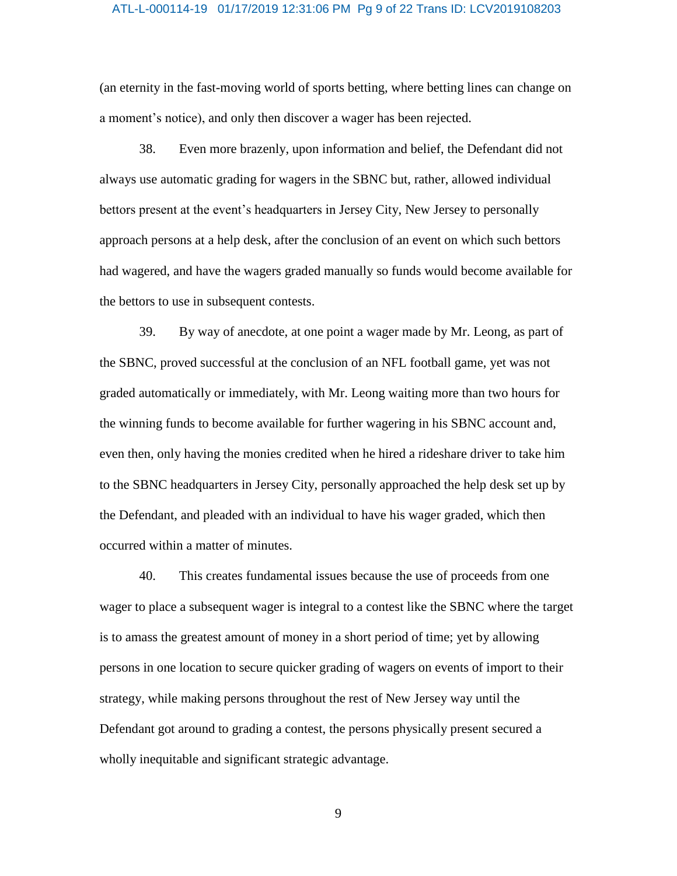#### ATL-L-000114-19 01/17/2019 12:31:06 PM Pg 9 of 22 Trans ID: LCV2019108203

(an eternity in the fast-moving world of sports betting, where betting lines can change on a moment's notice), and only then discover a wager has been rejected.

38. Even more brazenly, upon information and belief, the Defendant did not always use automatic grading for wagers in the SBNC but, rather, allowed individual bettors present at the event's headquarters in Jersey City, New Jersey to personally approach persons at a help desk, after the conclusion of an event on which such bettors had wagered, and have the wagers graded manually so funds would become available for the bettors to use in subsequent contests.

39. By way of anecdote, at one point a wager made by Mr. Leong, as part of the SBNC, proved successful at the conclusion of an NFL football game, yet was not graded automatically or immediately, with Mr. Leong waiting more than two hours for the winning funds to become available for further wagering in his SBNC account and, even then, only having the monies credited when he hired a rideshare driver to take him to the SBNC headquarters in Jersey City, personally approached the help desk set up by the Defendant, and pleaded with an individual to have his wager graded, which then occurred within a matter of minutes.

40. This creates fundamental issues because the use of proceeds from one wager to place a subsequent wager is integral to a contest like the SBNC where the target is to amass the greatest amount of money in a short period of time; yet by allowing persons in one location to secure quicker grading of wagers on events of import to their strategy, while making persons throughout the rest of New Jersey way until the Defendant got around to grading a contest, the persons physically present secured a wholly inequitable and significant strategic advantage.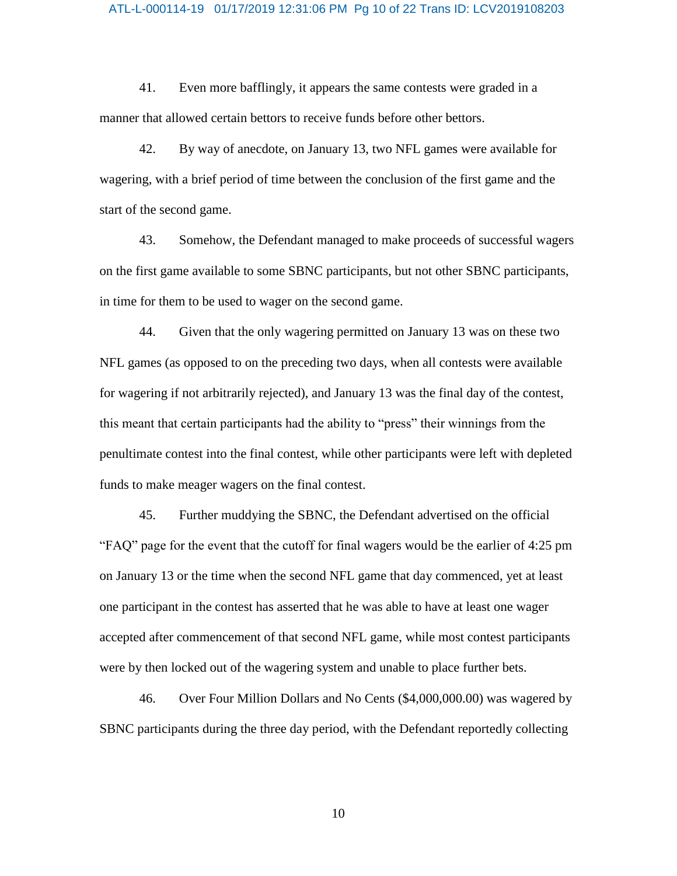#### ATL-L-000114-19 01/17/2019 12:31:06 PM Pg 10 of 22 Trans ID: LCV2019108203

41. Even more bafflingly, it appears the same contests were graded in a manner that allowed certain bettors to receive funds before other bettors.

42. By way of anecdote, on January 13, two NFL games were available for wagering, with a brief period of time between the conclusion of the first game and the start of the second game.

43. Somehow, the Defendant managed to make proceeds of successful wagers on the first game available to some SBNC participants, but not other SBNC participants, in time for them to be used to wager on the second game.

44. Given that the only wagering permitted on January 13 was on these two NFL games (as opposed to on the preceding two days, when all contests were available for wagering if not arbitrarily rejected), and January 13 was the final day of the contest, this meant that certain participants had the ability to "press" their winnings from the penultimate contest into the final contest, while other participants were left with depleted funds to make meager wagers on the final contest.

45. Further muddying the SBNC, the Defendant advertised on the official "FAQ" page for the event that the cutoff for final wagers would be the earlier of 4:25 pm on January 13 or the time when the second NFL game that day commenced, yet at least one participant in the contest has asserted that he was able to have at least one wager accepted after commencement of that second NFL game, while most contest participants were by then locked out of the wagering system and unable to place further bets.

46. Over Four Million Dollars and No Cents (\$4,000,000.00) was wagered by SBNC participants during the three day period, with the Defendant reportedly collecting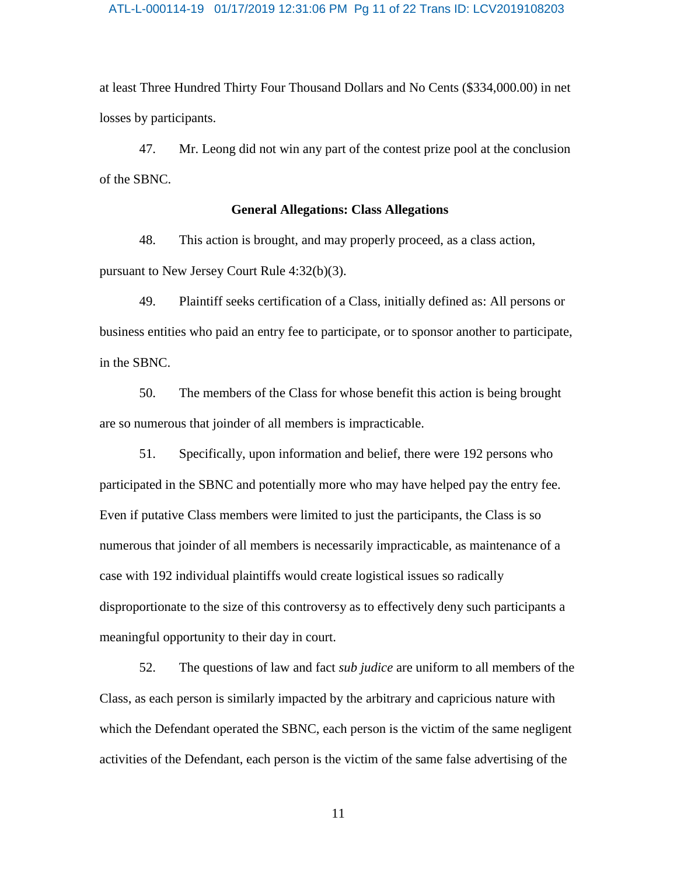#### ATL-L-000114-19 01/17/2019 12:31:06 PM Pg 11 of 22 Trans ID: LCV2019108203

at least Three Hundred Thirty Four Thousand Dollars and No Cents (\$334,000.00) in net losses by participants.

47. Mr. Leong did not win any part of the contest prize pool at the conclusion of the SBNC.

#### **General Allegations: Class Allegations**

48. This action is brought, and may properly proceed, as a class action, pursuant to New Jersey Court Rule 4:32(b)(3).

49. Plaintiff seeks certification of a Class, initially defined as: All persons or business entities who paid an entry fee to participate, or to sponsor another to participate, in the SBNC.

50. The members of the Class for whose benefit this action is being brought are so numerous that joinder of all members is impracticable.

51. Specifically, upon information and belief, there were 192 persons who participated in the SBNC and potentially more who may have helped pay the entry fee. Even if putative Class members were limited to just the participants, the Class is so numerous that joinder of all members is necessarily impracticable, as maintenance of a case with 192 individual plaintiffs would create logistical issues so radically disproportionate to the size of this controversy as to effectively deny such participants a meaningful opportunity to their day in court.

52. The questions of law and fact *sub judice* are uniform to all members of the Class, as each person is similarly impacted by the arbitrary and capricious nature with which the Defendant operated the SBNC, each person is the victim of the same negligent activities of the Defendant, each person is the victim of the same false advertising of the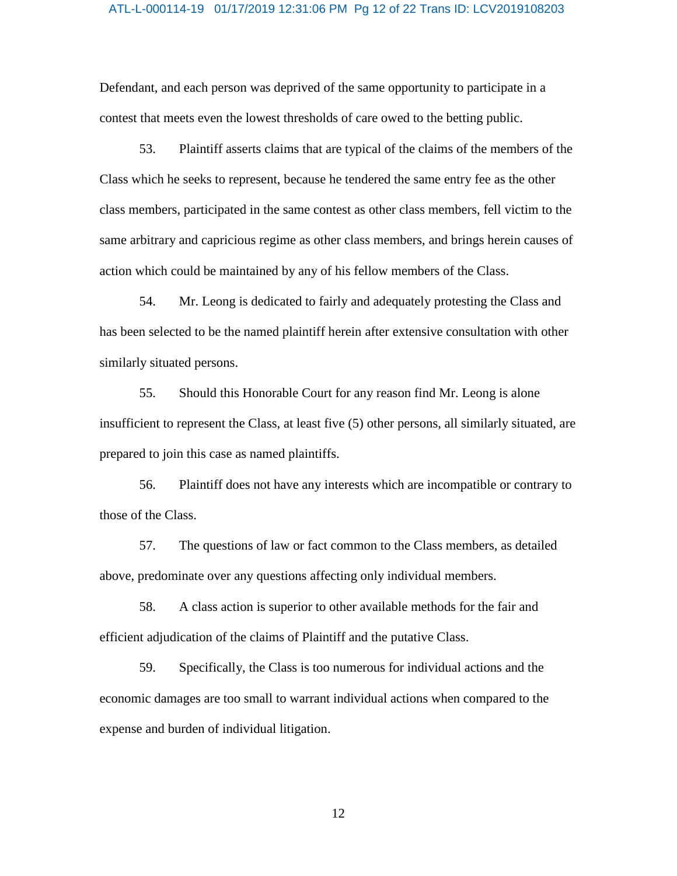#### ATL-L-000114-19 01/17/2019 12:31:06 PM Pg 12 of 22 Trans ID: LCV2019108203

Defendant, and each person was deprived of the same opportunity to participate in a contest that meets even the lowest thresholds of care owed to the betting public.

53. Plaintiff asserts claims that are typical of the claims of the members of the Class which he seeks to represent, because he tendered the same entry fee as the other class members, participated in the same contest as other class members, fell victim to the same arbitrary and capricious regime as other class members, and brings herein causes of action which could be maintained by any of his fellow members of the Class.

54. Mr. Leong is dedicated to fairly and adequately protesting the Class and has been selected to be the named plaintiff herein after extensive consultation with other similarly situated persons.

55. Should this Honorable Court for any reason find Mr. Leong is alone insufficient to represent the Class, at least five (5) other persons, all similarly situated, are prepared to join this case as named plaintiffs.

56. Plaintiff does not have any interests which are incompatible or contrary to those of the Class.

57. The questions of law or fact common to the Class members, as detailed above, predominate over any questions affecting only individual members.

58. A class action is superior to other available methods for the fair and efficient adjudication of the claims of Plaintiff and the putative Class.

59. Specifically, the Class is too numerous for individual actions and the economic damages are too small to warrant individual actions when compared to the expense and burden of individual litigation.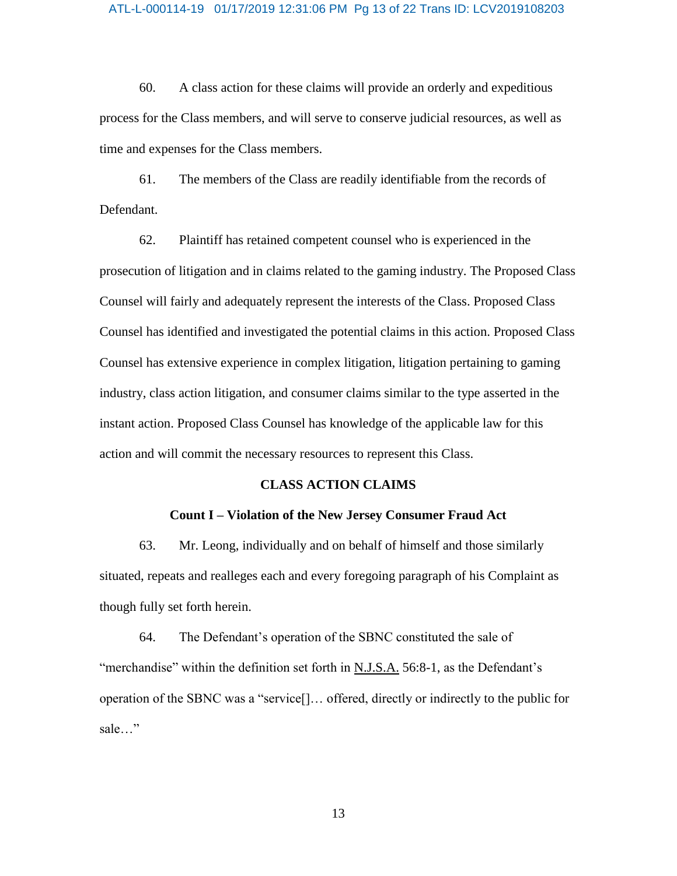#### ATL-L-000114-19 01/17/2019 12:31:06 PM Pg 13 of 22 Trans ID: LCV2019108203

60. A class action for these claims will provide an orderly and expeditious process for the Class members, and will serve to conserve judicial resources, as well as time and expenses for the Class members.

61. The members of the Class are readily identifiable from the records of Defendant.

62. Plaintiff has retained competent counsel who is experienced in the prosecution of litigation and in claims related to the gaming industry. The Proposed Class Counsel will fairly and adequately represent the interests of the Class. Proposed Class Counsel has identified and investigated the potential claims in this action. Proposed Class Counsel has extensive experience in complex litigation, litigation pertaining to gaming industry, class action litigation, and consumer claims similar to the type asserted in the instant action. Proposed Class Counsel has knowledge of the applicable law for this action and will commit the necessary resources to represent this Class.

## **CLASS ACTION CLAIMS**

#### **Count I – Violation of the New Jersey Consumer Fraud Act**

63. Mr. Leong, individually and on behalf of himself and those similarly situated, repeats and realleges each and every foregoing paragraph of his Complaint as though fully set forth herein.

64. The Defendant's operation of the SBNC constituted the sale of "merchandise" within the definition set forth in N.J.S.A. 56:8-1, as the Defendant's operation of the SBNC was a "service[]… offered, directly or indirectly to the public for sale…"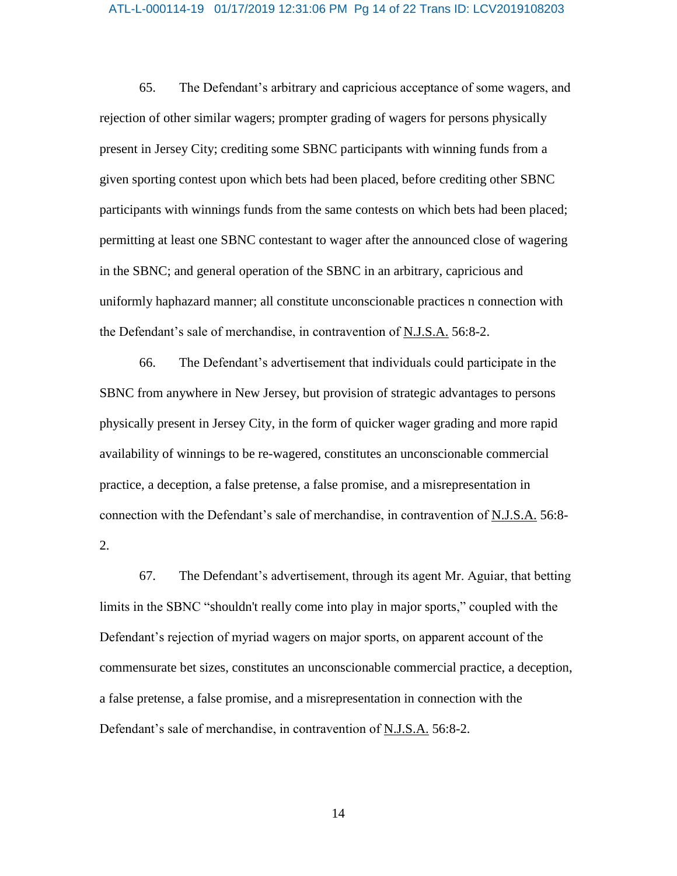#### ATL-L-000114-19 01/17/2019 12:31:06 PM Pg 14 of 22 Trans ID: LCV2019108203

65. The Defendant's arbitrary and capricious acceptance of some wagers, and rejection of other similar wagers; prompter grading of wagers for persons physically present in Jersey City; crediting some SBNC participants with winning funds from a given sporting contest upon which bets had been placed, before crediting other SBNC participants with winnings funds from the same contests on which bets had been placed; permitting at least one SBNC contestant to wager after the announced close of wagering in the SBNC; and general operation of the SBNC in an arbitrary, capricious and uniformly haphazard manner; all constitute unconscionable practices n connection with the Defendant's sale of merchandise, in contravention of N.J.S.A. 56:8-2.

66. The Defendant's advertisement that individuals could participate in the SBNC from anywhere in New Jersey, but provision of strategic advantages to persons physically present in Jersey City, in the form of quicker wager grading and more rapid availability of winnings to be re-wagered, constitutes an unconscionable commercial practice, a deception, a false pretense, a false promise, and a misrepresentation in connection with the Defendant's sale of merchandise, in contravention of N.J.S.A. 56:8- 2.

67. The Defendant's advertisement, through its agent Mr. Aguiar, that betting limits in the SBNC "shouldn't really come into play in major sports," coupled with the Defendant's rejection of myriad wagers on major sports, on apparent account of the commensurate bet sizes, constitutes an unconscionable commercial practice, a deception, a false pretense, a false promise, and a misrepresentation in connection with the Defendant's sale of merchandise, in contravention of N.J.S.A. 56:8-2.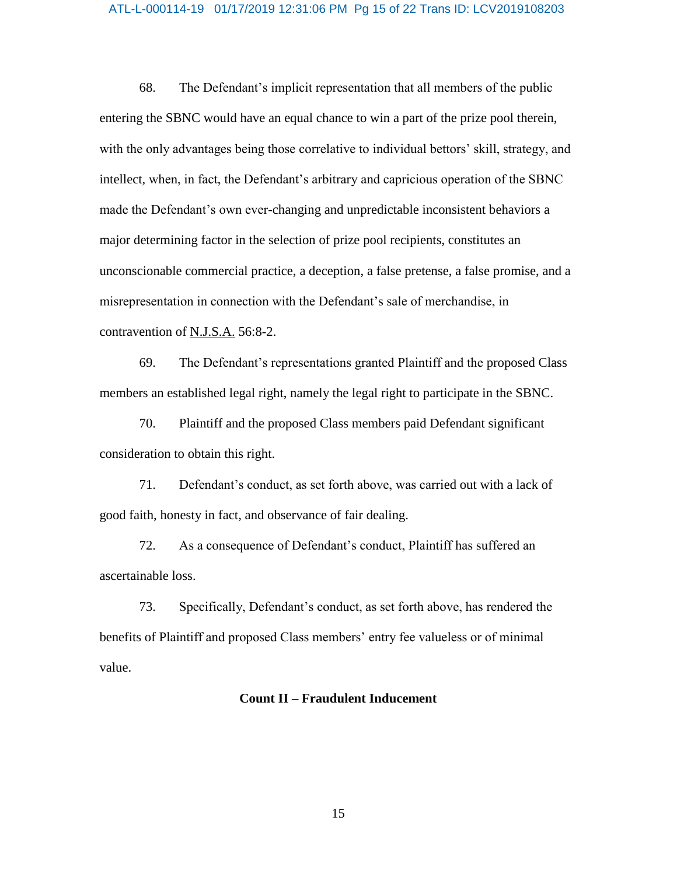#### ATL-L-000114-19 01/17/2019 12:31:06 PM Pg 15 of 22 Trans ID: LCV2019108203

68. The Defendant's implicit representation that all members of the public entering the SBNC would have an equal chance to win a part of the prize pool therein, with the only advantages being those correlative to individual bettors' skill, strategy, and intellect, when, in fact, the Defendant's arbitrary and capricious operation of the SBNC made the Defendant's own ever-changing and unpredictable inconsistent behaviors a major determining factor in the selection of prize pool recipients, constitutes an unconscionable commercial practice, a deception, a false pretense, a false promise, and a misrepresentation in connection with the Defendant's sale of merchandise, in contravention of N.J.S.A. 56:8-2.

69. The Defendant's representations granted Plaintiff and the proposed Class members an established legal right, namely the legal right to participate in the SBNC.

70. Plaintiff and the proposed Class members paid Defendant significant consideration to obtain this right.

71. Defendant's conduct, as set forth above, was carried out with a lack of good faith, honesty in fact, and observance of fair dealing.

72. As a consequence of Defendant's conduct, Plaintiff has suffered an ascertainable loss.

73. Specifically, Defendant's conduct, as set forth above, has rendered the benefits of Plaintiff and proposed Class members' entry fee valueless or of minimal value.

### **Count II – Fraudulent Inducement**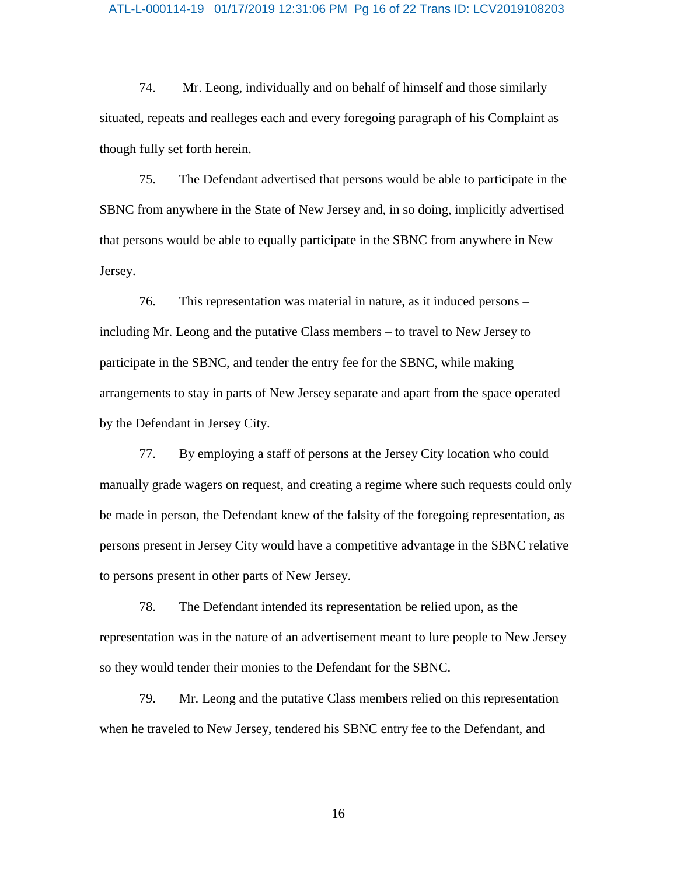#### ATL-L-000114-19 01/17/2019 12:31:06 PM Pg 16 of 22 Trans ID: LCV2019108203

74. Mr. Leong, individually and on behalf of himself and those similarly situated, repeats and realleges each and every foregoing paragraph of his Complaint as though fully set forth herein.

75. The Defendant advertised that persons would be able to participate in the SBNC from anywhere in the State of New Jersey and, in so doing, implicitly advertised that persons would be able to equally participate in the SBNC from anywhere in New Jersey.

76. This representation was material in nature, as it induced persons – including Mr. Leong and the putative Class members – to travel to New Jersey to participate in the SBNC, and tender the entry fee for the SBNC, while making arrangements to stay in parts of New Jersey separate and apart from the space operated by the Defendant in Jersey City.

77. By employing a staff of persons at the Jersey City location who could manually grade wagers on request, and creating a regime where such requests could only be made in person, the Defendant knew of the falsity of the foregoing representation, as persons present in Jersey City would have a competitive advantage in the SBNC relative to persons present in other parts of New Jersey.

78. The Defendant intended its representation be relied upon, as the representation was in the nature of an advertisement meant to lure people to New Jersey so they would tender their monies to the Defendant for the SBNC.

79. Mr. Leong and the putative Class members relied on this representation when he traveled to New Jersey, tendered his SBNC entry fee to the Defendant, and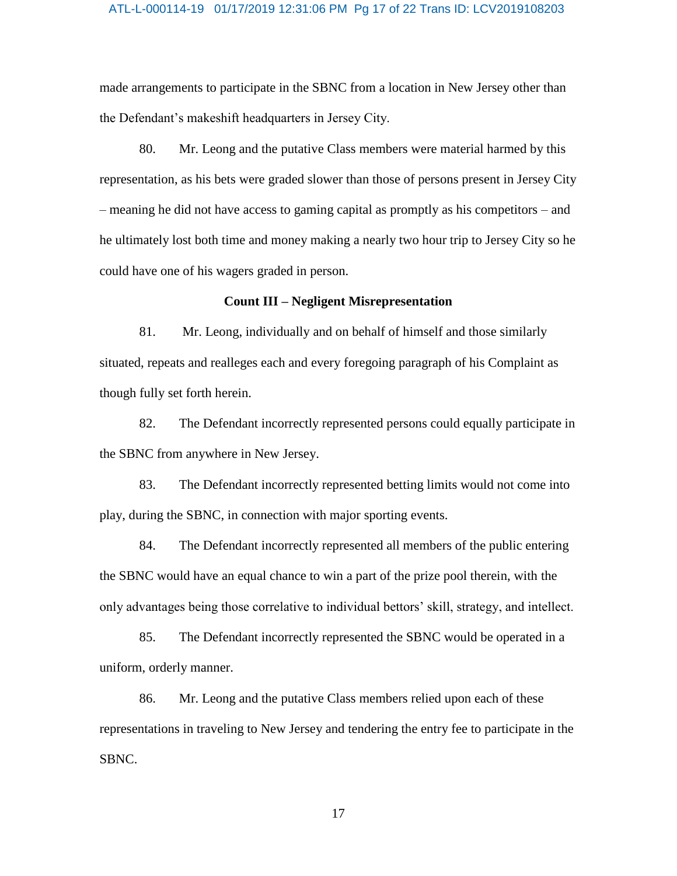#### ATL-L-000114-19 01/17/2019 12:31:06 PM Pg 17 of 22 Trans ID: LCV2019108203

made arrangements to participate in the SBNC from a location in New Jersey other than the Defendant's makeshift headquarters in Jersey City.

80. Mr. Leong and the putative Class members were material harmed by this representation, as his bets were graded slower than those of persons present in Jersey City – meaning he did not have access to gaming capital as promptly as his competitors – and he ultimately lost both time and money making a nearly two hour trip to Jersey City so he could have one of his wagers graded in person.

## **Count III – Negligent Misrepresentation**

81. Mr. Leong, individually and on behalf of himself and those similarly situated, repeats and realleges each and every foregoing paragraph of his Complaint as though fully set forth herein.

82. The Defendant incorrectly represented persons could equally participate in the SBNC from anywhere in New Jersey.

83. The Defendant incorrectly represented betting limits would not come into play, during the SBNC, in connection with major sporting events.

84. The Defendant incorrectly represented all members of the public entering the SBNC would have an equal chance to win a part of the prize pool therein, with the only advantages being those correlative to individual bettors' skill, strategy, and intellect.

85. The Defendant incorrectly represented the SBNC would be operated in a uniform, orderly manner.

86. Mr. Leong and the putative Class members relied upon each of these representations in traveling to New Jersey and tendering the entry fee to participate in the SBNC.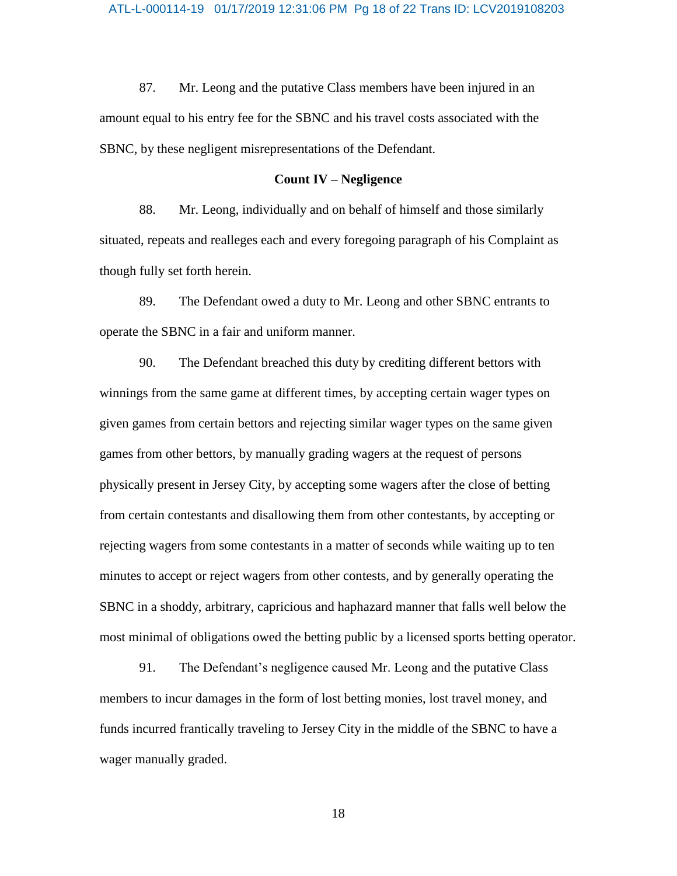#### ATL-L-000114-19 01/17/2019 12:31:06 PM Pg 18 of 22 Trans ID: LCV2019108203

87. Mr. Leong and the putative Class members have been injured in an amount equal to his entry fee for the SBNC and his travel costs associated with the SBNC, by these negligent misrepresentations of the Defendant.

## **Count IV – Negligence**

88. Mr. Leong, individually and on behalf of himself and those similarly situated, repeats and realleges each and every foregoing paragraph of his Complaint as though fully set forth herein.

89. The Defendant owed a duty to Mr. Leong and other SBNC entrants to operate the SBNC in a fair and uniform manner.

90. The Defendant breached this duty by crediting different bettors with winnings from the same game at different times, by accepting certain wager types on given games from certain bettors and rejecting similar wager types on the same given games from other bettors, by manually grading wagers at the request of persons physically present in Jersey City, by accepting some wagers after the close of betting from certain contestants and disallowing them from other contestants, by accepting or rejecting wagers from some contestants in a matter of seconds while waiting up to ten minutes to accept or reject wagers from other contests, and by generally operating the SBNC in a shoddy, arbitrary, capricious and haphazard manner that falls well below the most minimal of obligations owed the betting public by a licensed sports betting operator.

91. The Defendant's negligence caused Mr. Leong and the putative Class members to incur damages in the form of lost betting monies, lost travel money, and funds incurred frantically traveling to Jersey City in the middle of the SBNC to have a wager manually graded.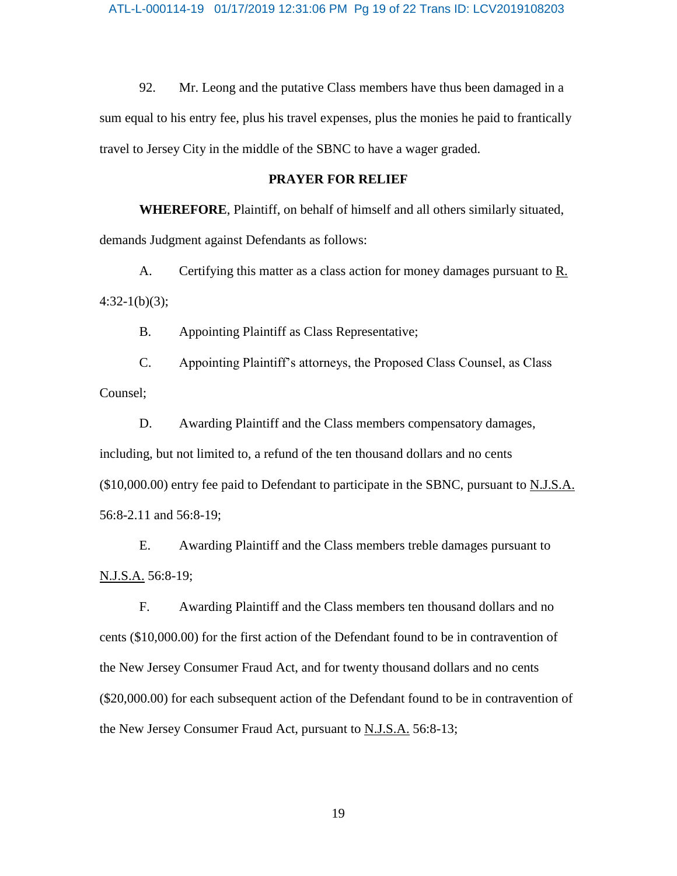92. Mr. Leong and the putative Class members have thus been damaged in a sum equal to his entry fee, plus his travel expenses, plus the monies he paid to frantically travel to Jersey City in the middle of the SBNC to have a wager graded.

## **PRAYER FOR RELIEF**

**WHEREFORE**, Plaintiff, on behalf of himself and all others similarly situated, demands Judgment against Defendants as follows:

A. Certifying this matter as a class action for money damages pursuant to R.  $4:32-1(b)(3);$ 

B. Appointing Plaintiff as Class Representative;

C. Appointing Plaintiff's attorneys, the Proposed Class Counsel, as Class Counsel;

D. Awarding Plaintiff and the Class members compensatory damages, including, but not limited to, a refund of the ten thousand dollars and no cents (\$10,000.00) entry fee paid to Defendant to participate in the SBNC, pursuant to N.J.S.A. 56:8-2.11 and 56:8-19;

E. Awarding Plaintiff and the Class members treble damages pursuant to N.J.S.A. 56:8-19;

F. Awarding Plaintiff and the Class members ten thousand dollars and no cents (\$10,000.00) for the first action of the Defendant found to be in contravention of the New Jersey Consumer Fraud Act, and for twenty thousand dollars and no cents (\$20,000.00) for each subsequent action of the Defendant found to be in contravention of the New Jersey Consumer Fraud Act, pursuant to **N.J.S.A.** 56:8-13;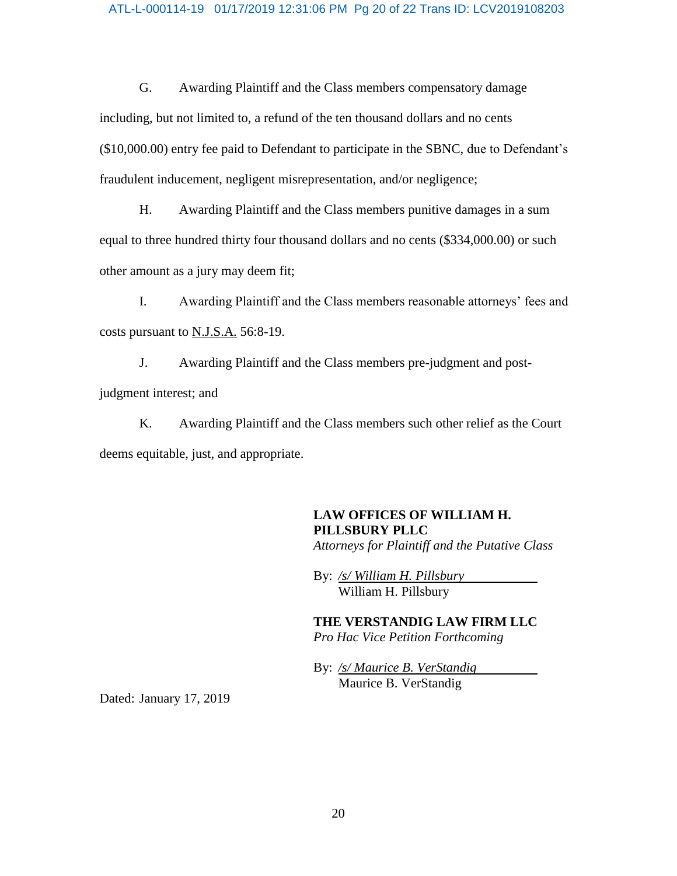### ATL-L-000114-19 01/17/2019 12:31:06 PM Pg 20 of 22 Trans ID: LCV2019108203

G. Awarding Plaintiff and the Class members compensatory damage including, but not limited to, a refund of the ten thousand dollars and no cents (\$10,000.00) entry fee paid to Defendant to participate in the SBNC, due to Defendant's fraudulent inducement, negligent misrepresentation, and/or negligence;

H. Awarding Plaintiff and the Class members punitive damages in a sum equal to three hundred thirty four thousand dollars and no cents (\$334,000.00) or such other amount as a jury may deem fit;

I. Awarding Plaintiff and the Class members reasonable attorneys' fees and costs pursuant to N.J.S.A. 56:8-19.

J. Awarding Plaintiff and the Class members pre-judgment and postjudgment interest; and

K. Awarding Plaintiff and the Class members such other relief as the Court deems equitable, just, and appropriate.

# **LAW OFFICES OF WILLIAM H. PILLSBURY PLLC**

*Attorneys for Plaintiff and the Putative Class*

By: */s/ William H. Pillsbury* William H. Pillsbury

**THE VERSTANDIG LAW FIRM LLC** *Pro Hac Vice Petition Forthcoming*

By: */s/ Maurice B. VerStandig* Maurice B. VerStandig

Dated: January 17, 2019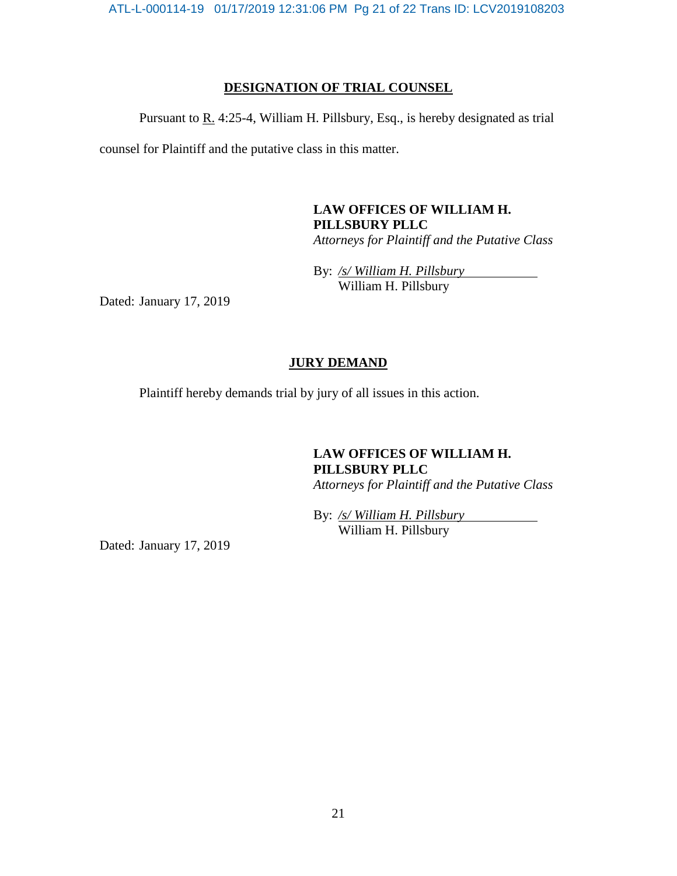ATL-L-000114-19 01/17/2019 12:31:06 PM Pg 21 of 22 Trans ID: LCV2019108203

## **DESIGNATION OF TRIAL COUNSEL**

Pursuant to R. 4:25-4, William H. Pillsbury, Esq., is hereby designated as trial

counsel for Plaintiff and the putative class in this matter.

## **LAW OFFICES OF WILLIAM H. PILLSBURY PLLC** *Attorneys for Plaintiff and the Putative Class*

By: */s/ William H. Pillsbury* William H. Pillsbury

Dated: January 17, 2019

## **JURY DEMAND**

Plaintiff hereby demands trial by jury of all issues in this action.

## **LAW OFFICES OF WILLIAM H. PILLSBURY PLLC** *Attorneys for Plaintiff and the Putative Class*

By: */s/ William H. Pillsbury* William H. Pillsbury

Dated: January 17, 2019